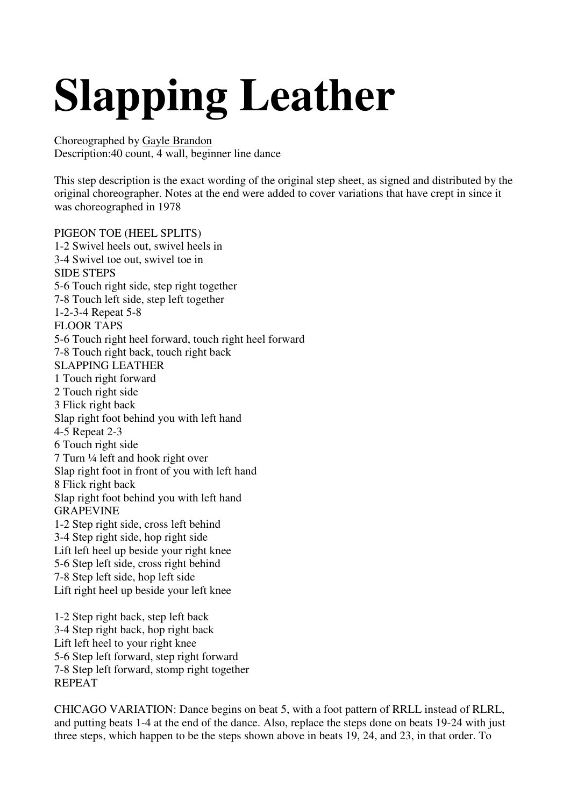## **Slapping Leather**

Choreographed by Gayle Brandon Description:40 count, 4 wall, beginner line dance

This step description is the exact wording of the original step sheet, as signed and distributed by the original choreographer. Notes at the end were added to cover variations that have crept in since it was choreographed in 1978

PIGEON TOE (HEEL SPLITS) 1-2 Swivel heels out, swivel heels in 3-4 Swivel toe out, swivel toe in SIDE STEPS 5-6 Touch right side, step right together 7-8 Touch left side, step left together 1-2-3-4 Repeat 5-8 FLOOR TAPS 5-6 Touch right heel forward, touch right heel forward 7-8 Touch right back, touch right back SLAPPING LEATHER 1 Touch right forward 2 Touch right side 3 Flick right back Slap right foot behind you with left hand 4-5 Repeat 2-3 6 Touch right side 7 Turn ¼ left and hook right over Slap right foot in front of you with left hand 8 Flick right back Slap right foot behind you with left hand GRAPEVINE 1-2 Step right side, cross left behind 3-4 Step right side, hop right side Lift left heel up beside your right knee 5-6 Step left side, cross right behind 7-8 Step left side, hop left side Lift right heel up beside your left knee 1-2 Step right back, step left back 3-4 Step right back, hop right back Lift left heel to your right knee

5-6 Step left forward, step right forward 7-8 Step left forward, stomp right together REPEAT

CHICAGO VARIATION: Dance begins on beat 5, with a foot pattern of RRLL instead of RLRL, and putting beats 1-4 at the end of the dance. Also, replace the steps done on beats 19-24 with just three steps, which happen to be the steps shown above in beats 19, 24, and 23, in that order. To